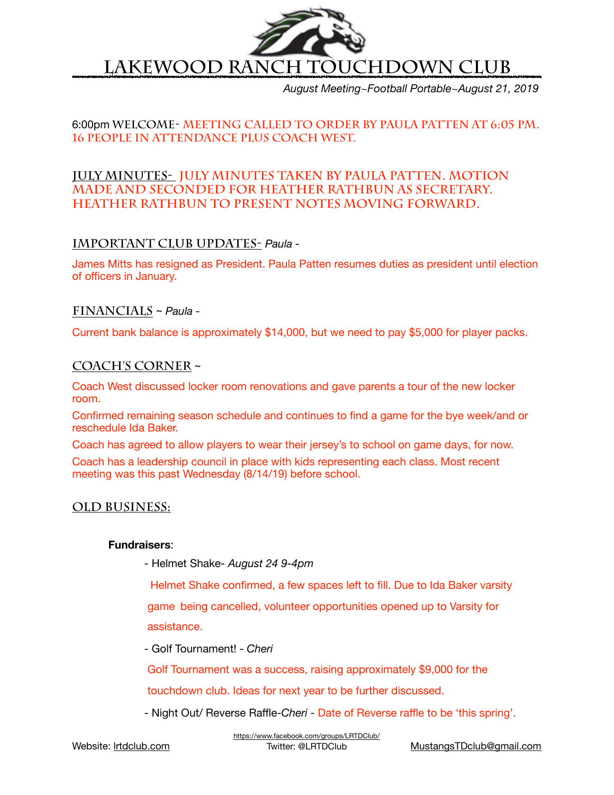

*August Meeting~Football Portable~August 21, 2019*

## 6:00pm **Welcome- Meeting called to order by Paula Patten at 6:05 pm. 16 people in attendance plus Coach West.**

## **July Minutes- July minutes taken by Paula Patten. Motion made and seconded for Heather Rathbun as secretary. Heather Rathbun to present notes moving forward.**

## **Important Club Updates-** *Paula -*

James Mitts has resigned as President. Paula Patten resumes duties as president until election of officers in January.

## **Financials** ~ *Paula -*

Current bank balance is approximately \$14,000, but we need to pay \$5,000 for player packs.

### **Coach's Corner** ~

Coach West discussed locker room renovations and gave parents a tour of the new locker room.

Confirmed remaining season schedule and continues to find a game for the bye week/and or reschedule Ida Baker.

Coach has agreed to allow players to wear their jersey's to school on game days, for now.

Coach has a leadership council in place with kids representing each class. Most recent meeting was this past Wednesday (8/14/19) before school.

## **Old Business:**

#### **Fundraisers**:

 - Helmet Shake- *August 24 9-4pm* 

 Helmet Shake confirmed, a few spaces left to fill. Due to Ida Baker varsity game being cancelled, volunteer opportunities opened up to Varsity for assistance.

 - Golf Tournament! - *Cheri* 

 Golf Tournament was a success, raising approximately \$9,000 for the

 touchdown club. Ideas for next year to be further discussed.

 - Night Out/ Reverse Raffle-*Cheri -* Date of Reverse raffle to be 'this spring'.

<https://www.facebook.com/groups/LRTDClub/>

Twitter: @LRTDClub [MustangsTDclub@gmail.com](mailto:MustangsTDclub@gmail.com)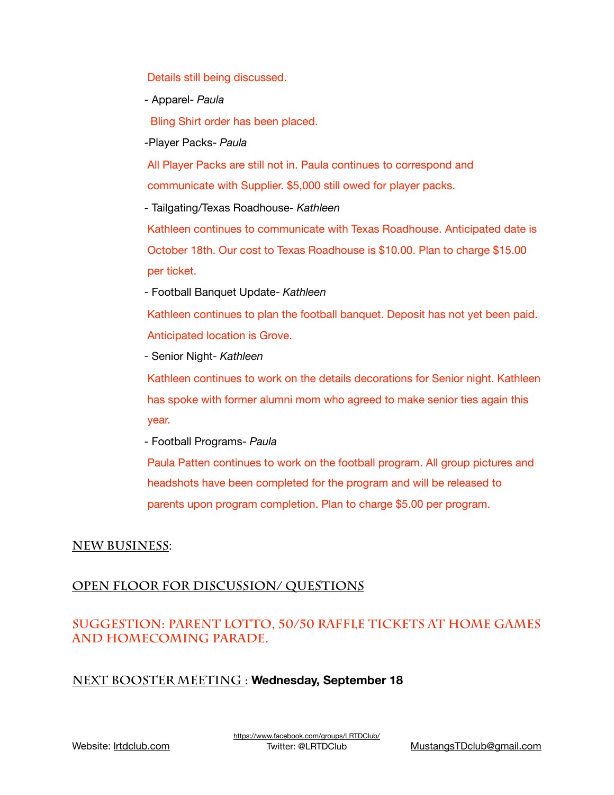Details still being discussed.

 - Apparel- *Paula* 

**Bling Shirt order has been placed.** 

 -Player Packs- *Paula* 

All Player Packs are still not in. Paula continues to correspond and communicate with Supplier. \$5,000 still owed for player packs.

 - Tailgating/Texas Roadhouse- *Kathleen* 

Kathleen continues to communicate with Texas Roadhouse. Anticipated date is October 18th. Our cost to Texas Roadhouse is \$10.00. Plan to charge \$15.00 per ticket.

 - Football Banquet Update- *Kathleen* 

Kathleen continues to plan the football banquet. Deposit has not yet been paid. Anticipated location is Grove.

 *-* Senior Night*- Kathleen* 

Kathleen continues to work on the details decorations for Senior night. Kathleen has spoke with former alumni mom who agreed to make senior ties again this year.

 - Football Programs- *Paula* 

 Paula Patten continues to work on the football program. All group pictures and headshots have been completed for the program and will be released to parents upon program completion. Plan to charge \$5.00 per program.

## **New Business**:

## **Open Floor for discussion/ questions**

## **Suggestion: Parent Lotto, 50/50 raffle tickets at home games and homecoming parade.**

## **NEXT BOOSTER MEETING : Wednesday, September 18**

Website: [lrtdclub.com](http://lrtdclub.com)